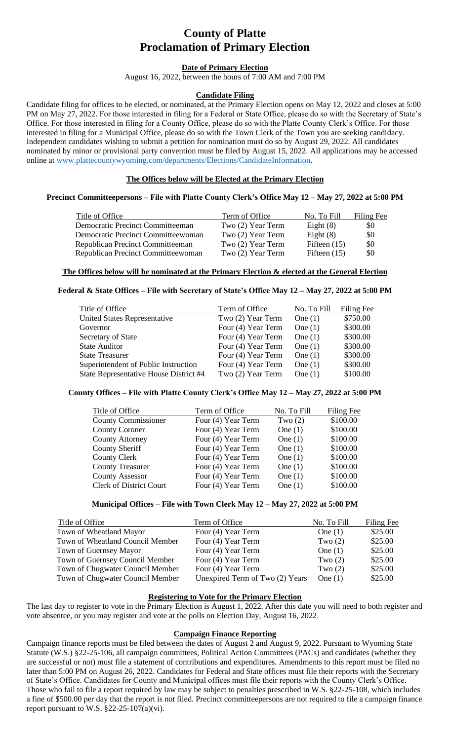# **County of Platte Proclamation of Primary Election**

## **Date of Primary Election**

August 16, 2022, between the hours of 7:00 AM and 7:00 PM

### **Candidate Filing**

Candidate filing for offices to be elected, or nominated, at the Primary Election opens on May 12, 2022 and closes at 5:00 PM on May 27, 2022. For those interested in filing for a Federal or State Office, please do so with the Secretary of State's Office. For those interested in filing for a County Office, please do so with the Platte County Clerk's Office. For those interested in filing for a Municipal Office, please do so with the Town Clerk of the Town you are seeking candidacy. Independent candidates wishing to submit a petition for nomination must do so by August 29, 2022. All candidates nominated by minor or provisional party convention must be filed by August 15, 2022. All applications may be accessed online at [www.plattecountywyoming.com/departments/Elections/CandidateInformation.](http://www.plattecountywyoming.com/departments/Elections/CandidateInformation)

### **The Offices below will be Elected at the Primary Election**

# **Precinct Committeepersons – File with Platte County Clerk's Office May 12 – May 27, 2022 at 5:00 PM**

| Title of Office                    | Term of Office    | No. To Fill    | Filing Fee |
|------------------------------------|-------------------|----------------|------------|
| Democratic Precinct Committeeman   | Two (2) Year Term | Eight $(8)$    | \$0        |
| Democratic Precinct Committeewoman | Two (2) Year Term | Eight $(8)$    | \$0        |
| Republican Precinct Committeeman   | Two (2) Year Term | Fifteen $(15)$ | \$0        |
| Republican Precinct Committeewoman | Two (2) Year Term | Fifteen $(15)$ | \$0        |

# **The Offices below will be nominated at the Primary Election & elected at the General Election**

# **Federal & State Offices – File with Secretary of State's Office May 12 – May 27, 2022 at 5:00 PM**

| Title of Office                        | Term of Office     | No. To Fill | Filing Fee |
|----------------------------------------|--------------------|-------------|------------|
| <b>United States Representative</b>    | Two (2) Year Term  | One $(1)$   | \$750.00   |
| Governor                               | Four (4) Year Term | One $(1)$   | \$300.00   |
| Secretary of State                     | Four (4) Year Term | One $(1)$   | \$300.00   |
| <b>State Auditor</b>                   | Four (4) Year Term | One $(1)$   | \$300.00   |
| <b>State Treasurer</b>                 | Four (4) Year Term | One $(1)$   | \$300.00   |
| Superintendent of Public Instruction   | Four (4) Year Term | One $(1)$   | \$300.00   |
| State Representative House District #4 | Two (2) Year Term  | One $(1)$   | \$100.00   |

# **County Offices – File with Platte County Clerk's Office May 12 – May 27, 2022 at 5:00 PM**

| Title of Office                | Term of Office     | No. To Fill | Filing Fee |
|--------------------------------|--------------------|-------------|------------|
| <b>County Commissioner</b>     | Four (4) Year Term | Two $(2)$   | \$100.00   |
| <b>County Coroner</b>          | Four (4) Year Term | One $(1)$   | \$100.00   |
| <b>County Attorney</b>         | Four (4) Year Term | One $(1)$   | \$100.00   |
| <b>County Sheriff</b>          | Four (4) Year Term | One $(1)$   | \$100.00   |
| <b>County Clerk</b>            | Four (4) Year Term | One $(1)$   | \$100.00   |
| <b>County Treasurer</b>        | Four (4) Year Term | One $(1)$   | \$100.00   |
| <b>County Assessor</b>         | Four (4) Year Term | One $(1)$   | \$100.00   |
| <b>Clerk of District Court</b> | Four (4) Year Term | One $(1)$   | \$100.00   |

# **Municipal Offices – File with Town Clerk May 12 – May 27, 2022 at 5:00 PM**

| Title of Office                  | Term of Office                  | No. To Fill | Filing Fee |
|----------------------------------|---------------------------------|-------------|------------|
| Town of Wheatland Mayor          | Four (4) Year Term              | One $(1)$   | \$25.00    |
| Town of Wheatland Council Member | Four (4) Year Term              | Two $(2)$   | \$25.00    |
| Town of Guernsey Mayor           | Four (4) Year Term              | One $(1)$   | \$25.00    |
| Town of Guernsey Council Member  | Four (4) Year Term              | Two $(2)$   | \$25.00    |
| Town of Chugwater Council Member | Four (4) Year Term              | Two $(2)$   | \$25.00    |
| Town of Chugwater Council Member | Unexpired Term of Two (2) Years | One $(1)$   | \$25.00    |
|                                  |                                 |             |            |

# **Registering to Vote for the Primary Election**

The last day to register to vote in the Primary Election is August 1, 2022. After this date you will need to both register and vote absentee, or you may register and vote at the polls on Election Day, August 16, 2022.

### **Campaign Finance Reporting**

Campaign finance reports must be filed between the dates of August 2 and August 9, 2022. Pursuant to Wyoming State Statute (W.S.) §22-25-106, all campaign committees, Political Action Committees (PACs) and candidates (whether they are successful or not) must file a statement of contributions and expenditures. Amendments to this report must be filed no later than 5:00 PM on August 26, 2022. Candidates for Federal and State offices must file their reports with the Secretary of State's Office. Candidates for County and Municipal offices must file their reports with the County Clerk's Office. Those who fail to file a report required by law may be subject to penalties prescribed in W.S. §22-25-108, which includes a fine of \$500.00 per day that the report is not filed. Precinct committeepersons are not required to file a campaign finance report pursuant to W.S.  $\S 22-25-107(a)(vi)$ .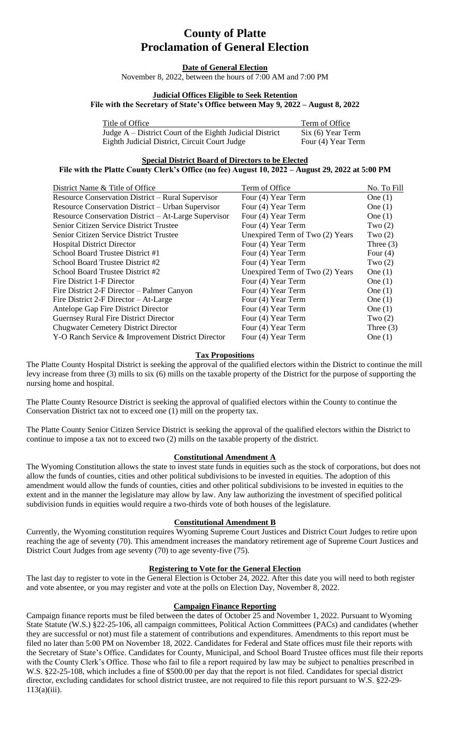# **County of Platte Proclamation of General Election**

#### **Date of General Election**

November 8, 2022, between the hours of 7:00 AM and 7:00 PM

#### **Judicial Offices Eligible to Seek Retention**

**File with the Secretary of State's Office between May 9, 2022 – August 8, 2022**

| Title of Office                                            | Term of Office     |
|------------------------------------------------------------|--------------------|
| Judge $A$ – District Court of the Eighth Judicial District | Six (6) Year Term  |
| Eighth Judicial District, Circuit Court Judge              | Four (4) Year Term |

**Special District Board of Directors to be Elected**

#### **File with the Platte County Clerk's Office (no fee) August 10, 2022 – August 29, 2022 at 5:00 PM**

| District Name & Title of Office                      | Term of Office                  | No. To Fill |
|------------------------------------------------------|---------------------------------|-------------|
| Resource Conservation District – Rural Supervisor    | Four (4) Year Term              | One $(1)$   |
| Resource Conservation District – Urban Supervisor    | Four (4) Year Term              | One $(1)$   |
| Resource Conservation District – At-Large Supervisor | Four (4) Year Term              | One $(1)$   |
| <b>Senior Citizen Service District Trustee</b>       | Four (4) Year Term              | Two $(2)$   |
| Senior Citizen Service District Trustee              | Unexpired Term of Two (2) Years | Two $(2)$   |
| <b>Hospital District Director</b>                    | Four (4) Year Term              | Three $(3)$ |
| School Board Trustee District #1                     | Four (4) Year Term              | Four $(4)$  |
| School Board Trustee District #2                     | Four (4) Year Term              | Two $(2)$   |
| School Board Trustee District #2                     | Unexpired Term of Two (2) Years | One $(1)$   |
| Fire District 1-F Director                           | Four (4) Year Term              | One $(1)$   |
| Fire District 2-F Director – Palmer Canyon           | Four (4) Year Term              | One $(1)$   |
| Fire District 2-F Director $-$ At-Large              | Four (4) Year Term              | One $(1)$   |
| Antelope Gap Fire District Director                  | Four (4) Year Term              | One $(1)$   |
| Guernsey Rural Fire District Director                | Four (4) Year Term              | Two $(2)$   |
| <b>Chugwater Cemetery District Director</b>          | Four (4) Year Term              | Three $(3)$ |
| Y-O Ranch Service & Improvement District Director    | Four (4) Year Term              | One $(1)$   |

#### **Tax Propositions**

The Platte County Hospital District is seeking the approval of the qualified electors within the District to continue the mill levy increase from three (3) mills to six (6) mills on the taxable property of the District for the purpose of supporting the nursing home and hospital.

The Platte County Resource District is seeking the approval of qualified electors within the County to continue the Conservation District tax not to exceed one (1) mill on the property tax.

The Platte County Senior Citizen Service District is seeking the approval of the qualified electors within the District to continue to impose a tax not to exceed two (2) mills on the taxable property of the district.

### **Constitutional Amendment A**

The Wyoming Constitution allows the state to invest state funds in equities such as the stock of corporations, but does not allow the funds of counties, cities and other political subdivisions to be invested in equities. The adoption of this amendment would allow the funds of counties, cities and other political subdivisions to be invested in equities to the extent and in the manner the legislature may allow by law. Any law authorizing the investment of specified political subdivision funds in equities would require a two-thirds vote of both houses of the legislature.

#### **Constitutional Amendment B**

Currently, the Wyoming constitution requires Wyoming Supreme Court Justices and District Court Judges to retire upon reaching the age of seventy (70). This amendment increases the mandatory retirement age of Supreme Court Justices and District Court Judges from age seventy (70) to age seventy-five (75).

### **Registering to Vote for the General Election**

The last day to register to vote in the General Election is October 24, 2022. After this date you will need to both register and vote absentee, or you may register and vote at the polls on Election Day, November 8, 2022.

### **Campaign Finance Reporting**

Campaign finance reports must be filed between the dates of October 25 and November 1, 2022. Pursuant to Wyoming State Statute (W.S.) §22-25-106, all campaign committees, Political Action Committees (PACs) and candidates (whether they are successful or not) must file a statement of contributions and expenditures. Amendments to this report must be filed no later than 5:00 PM on November 18, 2022. Candidates for Federal and State offices must file their reports with the Secretary of State's Office. Candidates for County, Municipal, and School Board Trustee offices must file their reports with the County Clerk's Office. Those who fail to file a report required by law may be subject to penalties prescribed in W.S. §22-25-108, which includes a fine of \$500.00 per day that the report is not filed. Candidates for special district director, excluding candidates for school district trustee, are not required to file this report pursuant to W.S. §22-29- 113(a)(iii).